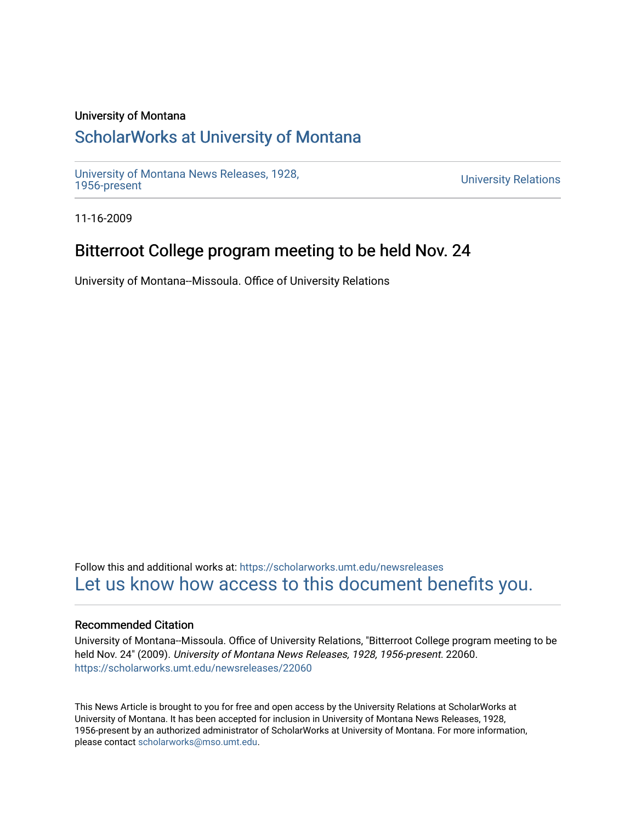## University of Montana

# [ScholarWorks at University of Montana](https://scholarworks.umt.edu/)

[University of Montana News Releases, 1928,](https://scholarworks.umt.edu/newsreleases) 

**University Relations** 

11-16-2009

## Bitterroot College program meeting to be held Nov. 24

University of Montana--Missoula. Office of University Relations

Follow this and additional works at: [https://scholarworks.umt.edu/newsreleases](https://scholarworks.umt.edu/newsreleases?utm_source=scholarworks.umt.edu%2Fnewsreleases%2F22060&utm_medium=PDF&utm_campaign=PDFCoverPages) [Let us know how access to this document benefits you.](https://goo.gl/forms/s2rGfXOLzz71qgsB2) 

### Recommended Citation

University of Montana--Missoula. Office of University Relations, "Bitterroot College program meeting to be held Nov. 24" (2009). University of Montana News Releases, 1928, 1956-present. 22060. [https://scholarworks.umt.edu/newsreleases/22060](https://scholarworks.umt.edu/newsreleases/22060?utm_source=scholarworks.umt.edu%2Fnewsreleases%2F22060&utm_medium=PDF&utm_campaign=PDFCoverPages) 

This News Article is brought to you for free and open access by the University Relations at ScholarWorks at University of Montana. It has been accepted for inclusion in University of Montana News Releases, 1928, 1956-present by an authorized administrator of ScholarWorks at University of Montana. For more information, please contact [scholarworks@mso.umt.edu.](mailto:scholarworks@mso.umt.edu)